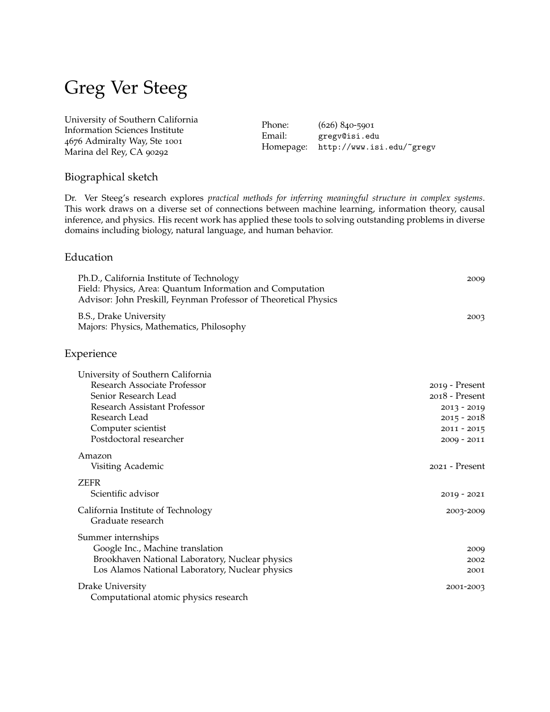# Greg Ver Steeg

University of Southern California Information Sciences Institute 4676 Admiralty Way, Ste 1001 Marina del Rey, CA 90292

Phone: (626) 840-5901 Email: [gregv@isi.edu](mailto:gregv@isi.edu) Homepage: <http://www.isi.edu/~gregv>

# Biographical sketch

Dr. Ver Steeg's research explores *practical methods for inferring meaningful structure in complex systems*. This work draws on a diverse set of connections between machine learning, information theory, causal inference, and physics. His recent work has applied these tools to solving outstanding problems in diverse domains including biology, natural language, and human behavior.

# Education

| Ph.D., California Institute of Technology<br>Field: Physics, Area: Quantum Information and Computation<br>Advisor: John Preskill, Feynman Professor of Theoretical Physics                  | 2009                                                                                                 |
|---------------------------------------------------------------------------------------------------------------------------------------------------------------------------------------------|------------------------------------------------------------------------------------------------------|
| B.S., Drake University<br>Majors: Physics, Mathematics, Philosophy                                                                                                                          | 2003                                                                                                 |
| Experience                                                                                                                                                                                  |                                                                                                      |
| University of Southern California<br>Research Associate Professor<br>Senior Research Lead<br>Research Assistant Professor<br>Research Lead<br>Computer scientist<br>Postdoctoral researcher | 2019 - Present<br>2018 - Present<br>$2013 - 2019$<br>$2015 - 2018$<br>$2011 - 2015$<br>$2009 - 2011$ |
| Amazon<br>Visiting Academic                                                                                                                                                                 | 2021 - Present                                                                                       |
| <b>ZEFR</b><br>Scientific advisor                                                                                                                                                           | $2019 - 2021$                                                                                        |
| California Institute of Technology<br>Graduate research                                                                                                                                     | 2003-2009                                                                                            |
| Summer internships<br>Google Inc., Machine translation<br>Brookhaven National Laboratory, Nuclear physics<br>Los Alamos National Laboratory, Nuclear physics                                | 2009<br>2002<br>2001                                                                                 |
| Drake University<br>Computational atomic physics research                                                                                                                                   | 2001-2003                                                                                            |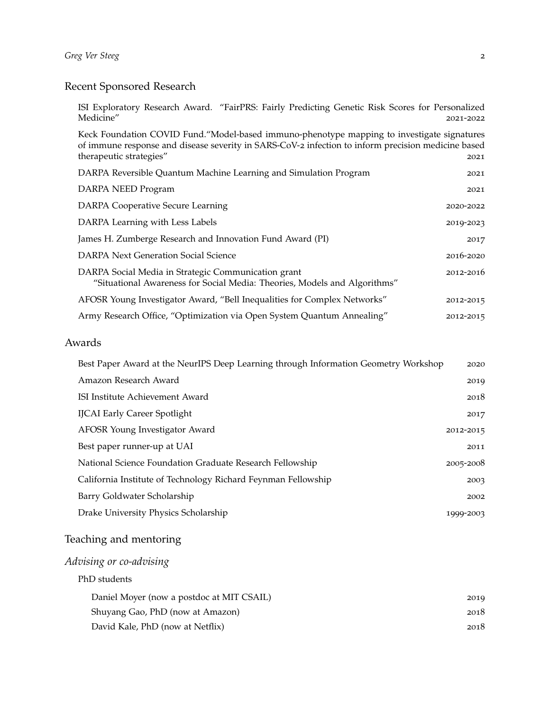# Recent Sponsored Research

ISI Exploratory Research Award. "FairPRS: Fairly Predicting Genetic Risk Scores for Personalized Medicine" 2021-2022

Keck Foundation COVID Fund."Model-based immuno-phenotype mapping to investigate signatures of immune response and disease severity in SARS-CoV-2 infection to inform precision medicine based therapeutic strategies" 2021

| DARPA Reversible Quantum Machine Learning and Simulation Program                                                                 | 2021      |
|----------------------------------------------------------------------------------------------------------------------------------|-----------|
| DARPA NEED Program                                                                                                               | 2021      |
| <b>DARPA Cooperative Secure Learning</b>                                                                                         | 2020-2022 |
| DARPA Learning with Less Labels                                                                                                  | 2019-2023 |
| James H. Zumberge Research and Innovation Fund Award (PI)                                                                        | 2017      |
| <b>DARPA Next Generation Social Science</b>                                                                                      | 2016-2020 |
| DARPA Social Media in Strategic Communication grant<br>"Situational Awareness for Social Media: Theories, Models and Algorithms" | 2012-2016 |
| AFOSR Young Investigator Award, "Bell Inequalities for Complex Networks"                                                         | 2012-2015 |
| Army Research Office, "Optimization via Open System Quantum Annealing"                                                           | 2012-2015 |

# Awards

| Best Paper Award at the NeurIPS Deep Learning through Information Geometry Workshop | 2020      |
|-------------------------------------------------------------------------------------|-----------|
| Amazon Research Award                                                               | 2019      |
| ISI Institute Achievement Award                                                     | 2018      |
| <b>IJCAI Early Career Spotlight</b>                                                 | 2017      |
| AFOSR Young Investigator Award                                                      | 2012-2015 |
| Best paper runner-up at UAI                                                         | 2011      |
| National Science Foundation Graduate Research Fellowship                            | 2005-2008 |
| California Institute of Technology Richard Feynman Fellowship                       | 2003      |
| Barry Goldwater Scholarship                                                         | 2002      |
| Drake University Physics Scholarship                                                | 1999-2003 |

# Teaching and mentoring

# *Advising or co-advising*

| PhD students                              |      |
|-------------------------------------------|------|
| Daniel Moyer (now a postdoc at MIT CSAIL) | 2019 |
| Shuyang Gao, PhD (now at Amazon)          | 2018 |
| David Kale, PhD (now at Netflix)          | 2018 |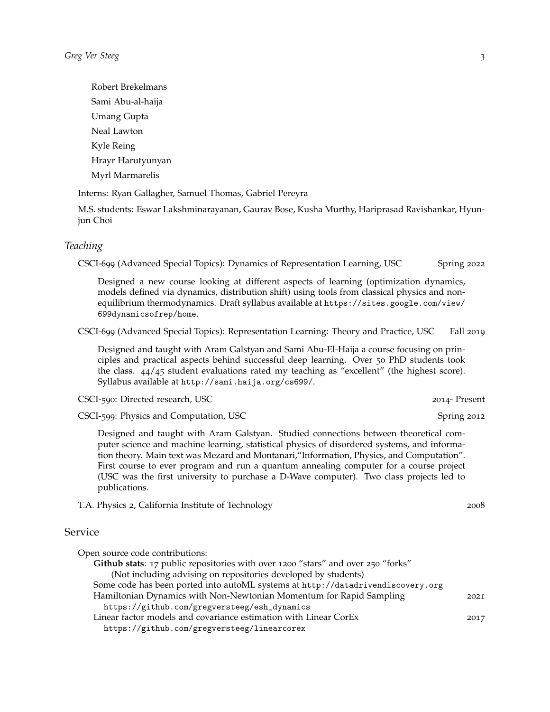Robert Brekelmans Sami Abu-al-haija Umang Gupta Neal Lawton Kyle Reing Hrayr Harutyunyan Myrl Marmarelis

Interns: Ryan Gallagher, Samuel Thomas, Gabriel Pereyra

M.S. students: Eswar Lakshminarayanan, Gaurav Bose, Kusha Murthy, Hariprasad Ravishankar, Hyunjun Choi

#### *Teaching*

CSCI-699 (Advanced Special Topics): Dynamics of Representation Learning, USC Spring 2022

Designed a new course looking at different aspects of learning (optimization dynamics, models defined via dynamics, distribution shift) using tools from classical physics and nonequilibrium thermodynamics. Draft syllabus available at [https://sites.google.com/view/](https://sites.google.com/view/699dynamicsofrep/home) [699dynamicsofrep/home](https://sites.google.com/view/699dynamicsofrep/home).

CSCI-699 (Advanced Special Topics): Representation Learning: Theory and Practice, USC Fall 2019

Designed and taught with Aram Galstyan and Sami Abu-El-Haija a course focusing on principles and practical aspects behind successful deep learning. Over 50 PhD students took the class. 44/45 student evaluations rated my teaching as "excellent" (the highest score). Syllabus available at <http://sami.haija.org/cs699/>.

CSCI-590: Directed research, USC 2014- Present

CSCI-599: Physics and Computation, USC Spring 2012

Designed and taught with Aram Galstyan. Studied connections between theoretical computer science and machine learning, statistical physics of disordered systems, and information theory. Main text was Mezard and Montanari,"Information, Physics, and Computation". First course to ever program and run a quantum annealing computer for a course project (USC was the first university to purchase a D-Wave computer). Two class projects led to publications.

T.A. Physics 2, California Institute of Technology 2008

#### Service

| Open source code contributions:                                                  |      |
|----------------------------------------------------------------------------------|------|
| Github stats: 17 public repositories with over 1200 "stars" and over 250 "forks" |      |
| (Not including advising on repositories developed by students)                   |      |
| Some code has been ported into autoML systems at http://datadrivendiscovery.org  |      |
| Hamiltonian Dynamics with Non-Newtonian Momentum for Rapid Sampling              | 2021 |
| https://github.com/gregversteeg/esh_dynamics                                     |      |
| Linear factor models and covariance estimation with Linear CorEx                 | 2017 |
| https://github.com/gregversteeg/linearcorex                                      |      |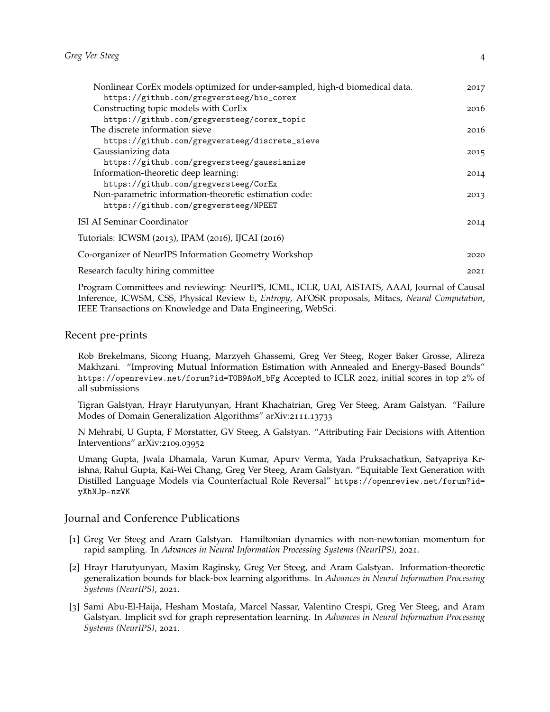| Nonlinear CorEx models optimized for under-sampled, high-d biomedical data.<br>https://github.com/gregversteeg/bio_corex | 2017 |
|--------------------------------------------------------------------------------------------------------------------------|------|
| Constructing topic models with CorEx                                                                                     | 2016 |
| https://github.com/gregversteeg/corex_topic                                                                              |      |
| The discrete information sieve                                                                                           | 2016 |
| https://github.com/gregversteeg/discrete_sieve                                                                           |      |
| Gaussianizing data                                                                                                       | 2015 |
| https://github.com/gregversteeg/gaussianize                                                                              |      |
| Information-theoretic deep learning:                                                                                     | 2014 |
| https://github.com/gregversteeg/CorEx                                                                                    |      |
| Non-parametric information-theoretic estimation code:                                                                    | 2013 |
| https://github.com/gregversteeg/NPEET                                                                                    |      |
| ISI AI Seminar Coordinator                                                                                               | 2014 |
| Tutorials: ICWSM (2013), IPAM (2016), IJCAI (2016)                                                                       |      |
| Co-organizer of NeurIPS Information Geometry Workshop                                                                    | 2020 |
| Research faculty hiring committee                                                                                        | 2021 |

Program Committees and reviewing: NeurIPS, ICML, ICLR, UAI, AISTATS, AAAI, Journal of Causal Inference, ICWSM, CSS, Physical Review E, *Entropy*, AFOSR proposals, Mitacs, *Neural Computation*, IEEE Transactions on Knowledge and Data Engineering, WebSci.

# Recent pre-prints

Rob Brekelmans, Sicong Huang, Marzyeh Ghassemi, Greg Ver Steeg, Roger Baker Grosse, Alireza Makhzani. "Improving Mutual Information Estimation with Annealed and Energy-Based Bounds" [https://openreview.net/forum?id=T0B9AoM\\_bFg](https://openreview.net/forum?id=T0B9AoM_bFg) Accepted to ICLR 2022, initial scores in top 2% of all submissions

Tigran Galstyan, Hrayr Harutyunyan, Hrant Khachatrian, Greg Ver Steeg, Aram Galstyan. "Failure Modes of Domain Generalization Algorithms" arXiv:2111.13733

N Mehrabi, U Gupta, F Morstatter, GV Steeg, A Galstyan. "Attributing Fair Decisions with Attention Interventions" arXiv:2109.03952

Umang Gupta, Jwala Dhamala, Varun Kumar, Apurv Verma, Yada Pruksachatkun, Satyapriya Krishna, Rahul Gupta, Kai-Wei Chang, Greg Ver Steeg, Aram Galstyan. "Equitable Text Generation with Distilled Language Models via Counterfactual Role Reversal" [https://openreview.net/forum?id=](https://openreview.net/forum?id=yXhNJp-nzVK) [yXhNJp-nzVK](https://openreview.net/forum?id=yXhNJp-nzVK)

# Journal and Conference Publications

- [1] Greg Ver Steeg and Aram Galstyan. Hamiltonian dynamics with non-newtonian momentum for rapid sampling. In *Advances in Neural Information Processing Systems (NeurIPS)*, 2021.
- [2] Hrayr Harutyunyan, Maxim Raginsky, Greg Ver Steeg, and Aram Galstyan. Information-theoretic generalization bounds for black-box learning algorithms. In *Advances in Neural Information Processing Systems (NeurIPS)*, 2021.
- [3] Sami Abu-El-Haija, Hesham Mostafa, Marcel Nassar, Valentino Crespi, Greg Ver Steeg, and Aram Galstyan. Implicit svd for graph representation learning. In *Advances in Neural Information Processing Systems (NeurIPS)*, 2021.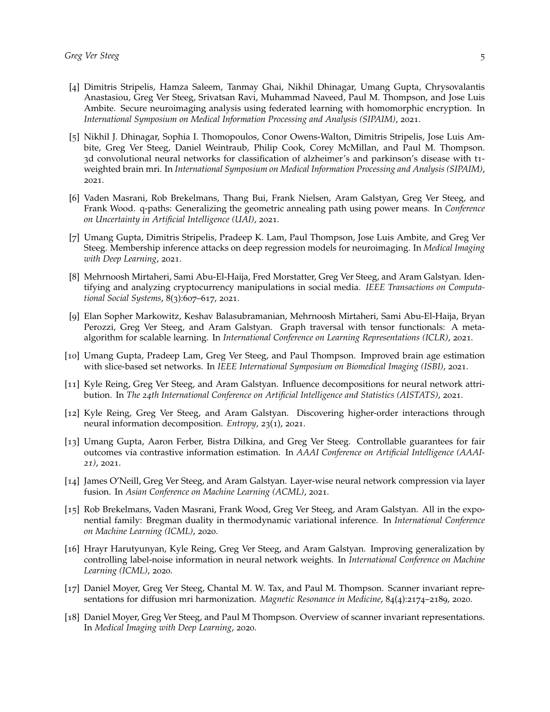- [4] Dimitris Stripelis, Hamza Saleem, Tanmay Ghai, Nikhil Dhinagar, Umang Gupta, Chrysovalantis Anastasiou, Greg Ver Steeg, Srivatsan Ravi, Muhammad Naveed, Paul M. Thompson, and Jose Luis Ambite. Secure neuroimaging analysis using federated learning with homomorphic encryption. In *International Symposium on Medical Information Processing and Analysis (SIPAIM)*, 2021.
- [5] Nikhil J. Dhinagar, Sophia I. Thomopoulos, Conor Owens-Walton, Dimitris Stripelis, Jose Luis Ambite, Greg Ver Steeg, Daniel Weintraub, Philip Cook, Corey McMillan, and Paul M. Thompson. 3d convolutional neural networks for classification of alzheimer's and parkinson's disease with t1 weighted brain mri. In *International Symposium on Medical Information Processing and Analysis (SIPAIM)*, 2021.
- [6] Vaden Masrani, Rob Brekelmans, Thang Bui, Frank Nielsen, Aram Galstyan, Greg Ver Steeg, and Frank Wood. q-paths: Generalizing the geometric annealing path using power means. In *Conference on Uncertainty in Artificial Intelligence (UAI)*, 2021.
- [7] Umang Gupta, Dimitris Stripelis, Pradeep K. Lam, Paul Thompson, Jose Luis Ambite, and Greg Ver Steeg. Membership inference attacks on deep regression models for neuroimaging. In *Medical Imaging with Deep Learning*, 2021.
- [8] Mehrnoosh Mirtaheri, Sami Abu-El-Haija, Fred Morstatter, Greg Ver Steeg, and Aram Galstyan. Identifying and analyzing cryptocurrency manipulations in social media. *IEEE Transactions on Computational Social Systems*, 8(3):607–617, 2021.
- [9] Elan Sopher Markowitz, Keshav Balasubramanian, Mehrnoosh Mirtaheri, Sami Abu-El-Haija, Bryan Perozzi, Greg Ver Steeg, and Aram Galstyan. Graph traversal with tensor functionals: A metaalgorithm for scalable learning. In *International Conference on Learning Representations (ICLR)*, 2021.
- [10] Umang Gupta, Pradeep Lam, Greg Ver Steeg, and Paul Thompson. Improved brain age estimation with slice-based set networks. In *IEEE International Symposium on Biomedical Imaging (ISBI)*, 2021.
- [11] Kyle Reing, Greg Ver Steeg, and Aram Galstyan. Influence decompositions for neural network attribution. In *The 24th International Conference on Artificial Intelligence and Statistics (AISTATS)*, 2021.
- [12] Kyle Reing, Greg Ver Steeg, and Aram Galstyan. Discovering higher-order interactions through neural information decomposition. *Entropy*, 23(1), 2021.
- [13] Umang Gupta, Aaron Ferber, Bistra Dilkina, and Greg Ver Steeg. Controllable guarantees for fair outcomes via contrastive information estimation. In *AAAI Conference on Artificial Intelligence (AAAI-21)*, 2021.
- [14] James O'Neill, Greg Ver Steeg, and Aram Galstyan. Layer-wise neural network compression via layer fusion. In *Asian Conference on Machine Learning (ACML)*, 2021.
- [15] Rob Brekelmans, Vaden Masrani, Frank Wood, Greg Ver Steeg, and Aram Galstyan. All in the exponential family: Bregman duality in thermodynamic variational inference. In *International Conference on Machine Learning (ICML)*, 2020.
- [16] Hrayr Harutyunyan, Kyle Reing, Greg Ver Steeg, and Aram Galstyan. Improving generalization by controlling label-noise information in neural network weights. In *International Conference on Machine Learning (ICML)*, 2020.
- [17] Daniel Moyer, Greg Ver Steeg, Chantal M. W. Tax, and Paul M. Thompson. Scanner invariant representations for diffusion mri harmonization. *Magnetic Resonance in Medicine*, 84(4):2174–2189, 2020.
- [18] Daniel Moyer, Greg Ver Steeg, and Paul M Thompson. Overview of scanner invariant representations. In *Medical Imaging with Deep Learning*, 2020.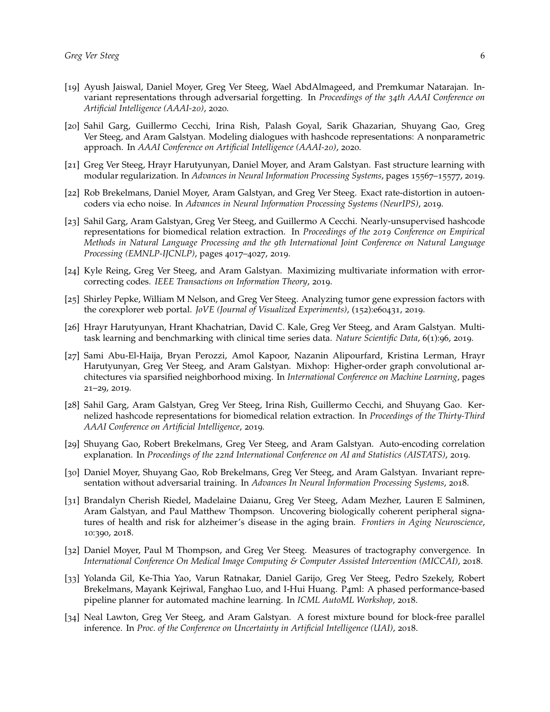- [19] Ayush Jaiswal, Daniel Moyer, Greg Ver Steeg, Wael AbdAlmageed, and Premkumar Natarajan. Invariant representations through adversarial forgetting. In *Proceedings of the 34th AAAI Conference on Artificial Intelligence (AAAI-20)*, 2020.
- [20] Sahil Garg, Guillermo Cecchi, Irina Rish, Palash Goyal, Sarik Ghazarian, Shuyang Gao, Greg Ver Steeg, and Aram Galstyan. Modeling dialogues with hashcode representations: A nonparametric approach. In *AAAI Conference on Artificial Intelligence (AAAI-20)*, 2020.
- [21] Greg Ver Steeg, Hrayr Harutyunyan, Daniel Moyer, and Aram Galstyan. Fast structure learning with modular regularization. In *Advances in Neural Information Processing Systems*, pages 15567–15577, 2019.
- [22] Rob Brekelmans, Daniel Moyer, Aram Galstyan, and Greg Ver Steeg. Exact rate-distortion in autoencoders via echo noise. In *Advances in Neural Information Processing Systems (NeurIPS)*, 2019.
- [23] Sahil Garg, Aram Galstyan, Greg Ver Steeg, and Guillermo A Cecchi. Nearly-unsupervised hashcode representations for biomedical relation extraction. In *Proceedings of the 2019 Conference on Empirical Methods in Natural Language Processing and the 9th International Joint Conference on Natural Language Processing (EMNLP-IJCNLP)*, pages 4017–4027, 2019.
- [24] Kyle Reing, Greg Ver Steeg, and Aram Galstyan. Maximizing multivariate information with errorcorrecting codes. *IEEE Transactions on Information Theory*, 2019.
- [25] Shirley Pepke, William M Nelson, and Greg Ver Steeg. Analyzing tumor gene expression factors with the corexplorer web portal. *JoVE (Journal of Visualized Experiments)*, (152):e60431, 2019.
- [26] Hrayr Harutyunyan, Hrant Khachatrian, David C. Kale, Greg Ver Steeg, and Aram Galstyan. Multitask learning and benchmarking with clinical time series data. *Nature Scientific Data*, 6(1):96, 2019.
- [27] Sami Abu-El-Haija, Bryan Perozzi, Amol Kapoor, Nazanin Alipourfard, Kristina Lerman, Hrayr Harutyunyan, Greg Ver Steeg, and Aram Galstyan. Mixhop: Higher-order graph convolutional architectures via sparsified neighborhood mixing. In *International Conference on Machine Learning*, pages 21–29, 2019.
- [28] Sahil Garg, Aram Galstyan, Greg Ver Steeg, Irina Rish, Guillermo Cecchi, and Shuyang Gao. Kernelized hashcode representations for biomedical relation extraction. In *Proceedings of the Thirty-Third AAAI Conference on Artificial Intelligence*, 2019.
- [29] Shuyang Gao, Robert Brekelmans, Greg Ver Steeg, and Aram Galstyan. Auto-encoding correlation explanation. In *Proceedings of the 22nd International Conference on AI and Statistics (AISTATS)*, 2019.
- [30] Daniel Moyer, Shuyang Gao, Rob Brekelmans, Greg Ver Steeg, and Aram Galstyan. Invariant representation without adversarial training. In *Advances In Neural Information Processing Systems*, 2018.
- [31] Brandalyn Cherish Riedel, Madelaine Daianu, Greg Ver Steeg, Adam Mezher, Lauren E Salminen, Aram Galstyan, and Paul Matthew Thompson. Uncovering biologically coherent peripheral signatures of health and risk for alzheimer's disease in the aging brain. *Frontiers in Aging Neuroscience*, 10:390, 2018.
- [32] Daniel Moyer, Paul M Thompson, and Greg Ver Steeg. Measures of tractography convergence. In *International Conference On Medical Image Computing & Computer Assisted Intervention (MICCAI)*, 2018.
- [33] Yolanda Gil, Ke-Thia Yao, Varun Ratnakar, Daniel Garijo, Greg Ver Steeg, Pedro Szekely, Robert Brekelmans, Mayank Kejriwal, Fanghao Luo, and I-Hui Huang. P4ml: A phased performance-based pipeline planner for automated machine learning. In *ICML AutoML Workshop*, 2018.
- [34] Neal Lawton, Greg Ver Steeg, and Aram Galstyan. A forest mixture bound for block-free parallel inference. In *Proc. of the Conference on Uncertainty in Artificial Intelligence (UAI)*, 2018.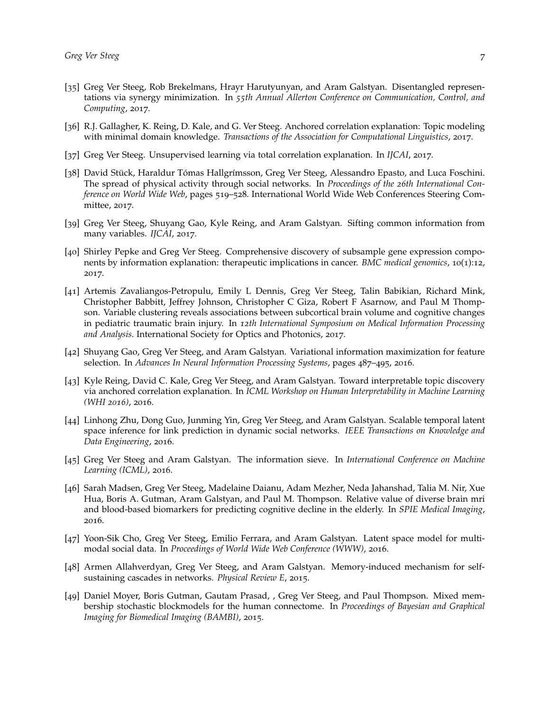- [35] Greg Ver Steeg, Rob Brekelmans, Hrayr Harutyunyan, and Aram Galstyan. Disentangled representations via synergy minimization. In *55th Annual Allerton Conference on Communication, Control, and Computing*, 2017.
- [36] R.J. Gallagher, K. Reing, D. Kale, and G. Ver Steeg. Anchored correlation explanation: Topic modeling with minimal domain knowledge. *Transactions of the Association for Computational Linguistics*, 2017.
- [37] Greg Ver Steeg. Unsupervised learning via total correlation explanation. In *IJCAI*, 2017.
- [38] David Stück, Haraldur Tómas Hallgrímsson, Greg Ver Steeg, Alessandro Epasto, and Luca Foschini. The spread of physical activity through social networks. In *Proceedings of the 26th International Conference on World Wide Web*, pages 519–528. International World Wide Web Conferences Steering Committee, 2017.
- [39] Greg Ver Steeg, Shuyang Gao, Kyle Reing, and Aram Galstyan. Sifting common information from many variables. *IJCAI*, 2017.
- [40] Shirley Pepke and Greg Ver Steeg. Comprehensive discovery of subsample gene expression components by information explanation: therapeutic implications in cancer. *BMC medical genomics*, 10(1):12, 2017.
- [41] Artemis Zavaliangos-Petropulu, Emily L Dennis, Greg Ver Steeg, Talin Babikian, Richard Mink, Christopher Babbitt, Jeffrey Johnson, Christopher C Giza, Robert F Asarnow, and Paul M Thompson. Variable clustering reveals associations between subcortical brain volume and cognitive changes in pediatric traumatic brain injury. In *12th International Symposium on Medical Information Processing and Analysis*. International Society for Optics and Photonics, 2017.
- [42] Shuyang Gao, Greg Ver Steeg, and Aram Galstyan. Variational information maximization for feature selection. In *Advances In Neural Information Processing Systems*, pages 487–495, 2016.
- [43] Kyle Reing, David C. Kale, Greg Ver Steeg, and Aram Galstyan. Toward interpretable topic discovery via anchored correlation explanation. In *ICML Workshop on Human Interpretability in Machine Learning (WHI 2016)*, 2016.
- [44] Linhong Zhu, Dong Guo, Junming Yin, Greg Ver Steeg, and Aram Galstyan. Scalable temporal latent space inference for link prediction in dynamic social networks. *IEEE Transactions on Knowledge and Data Engineering*, 2016.
- [45] Greg Ver Steeg and Aram Galstyan. The information sieve. In *International Conference on Machine Learning (ICML)*, 2016.
- [46] Sarah Madsen, Greg Ver Steeg, Madelaine Daianu, Adam Mezher, Neda Jahanshad, Talia M. Nir, Xue Hua, Boris A. Gutman, Aram Galstyan, and Paul M. Thompson. Relative value of diverse brain mri and blood-based biomarkers for predicting cognitive decline in the elderly. In *SPIE Medical Imaging*, 2016.
- [47] Yoon-Sik Cho, Greg Ver Steeg, Emilio Ferrara, and Aram Galstyan. Latent space model for multimodal social data. In *Proceedings of World Wide Web Conference (WWW)*, 2016.
- [48] Armen Allahverdyan, Greg Ver Steeg, and Aram Galstyan. Memory-induced mechanism for selfsustaining cascades in networks. *Physical Review E*, 2015.
- [49] Daniel Moyer, Boris Gutman, Gautam Prasad, , Greg Ver Steeg, and Paul Thompson. Mixed membership stochastic blockmodels for the human connectome. In *Proceedings of Bayesian and Graphical Imaging for Biomedical Imaging (BAMBI)*, 2015.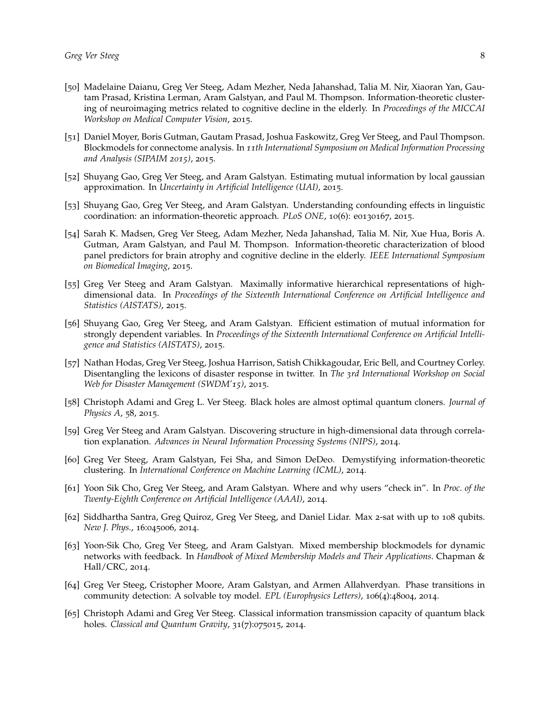- [50] Madelaine Daianu, Greg Ver Steeg, Adam Mezher, Neda Jahanshad, Talia M. Nir, Xiaoran Yan, Gautam Prasad, Kristina Lerman, Aram Galstyan, and Paul M. Thompson. Information-theoretic clustering of neuroimaging metrics related to cognitive decline in the elderly. In *Proceedings of the MICCAI Workshop on Medical Computer Vision*, 2015.
- [51] Daniel Moyer, Boris Gutman, Gautam Prasad, Joshua Faskowitz, Greg Ver Steeg, and Paul Thompson. Blockmodels for connectome analysis. In *11th International Symposium on Medical Information Processing and Analysis (SIPAIM 2015)*, 2015.
- [52] Shuyang Gao, Greg Ver Steeg, and Aram Galstyan. Estimating mutual information by local gaussian approximation. In *Uncertainty in Artificial Intelligence (UAI)*, 2015.
- [53] Shuyang Gao, Greg Ver Steeg, and Aram Galstyan. Understanding confounding effects in linguistic coordination: an information-theoretic approach. *PLoS ONE*, 10(6): e0130167, 2015.
- [54] Sarah K. Madsen, Greg Ver Steeg, Adam Mezher, Neda Jahanshad, Talia M. Nir, Xue Hua, Boris A. Gutman, Aram Galstyan, and Paul M. Thompson. Information-theoretic characterization of blood panel predictors for brain atrophy and cognitive decline in the elderly. *IEEE International Symposium on Biomedical Imaging*, 2015.
- [55] Greg Ver Steeg and Aram Galstyan. Maximally informative hierarchical representations of highdimensional data. In *Proceedings of the Sixteenth International Conference on Artificial Intelligence and Statistics (AISTATS)*, 2015.
- [56] Shuyang Gao, Greg Ver Steeg, and Aram Galstyan. Efficient estimation of mutual information for strongly dependent variables. In *Proceedings of the Sixteenth International Conference on Artificial Intelligence and Statistics (AISTATS)*, 2015.
- [57] Nathan Hodas, Greg Ver Steeg, Joshua Harrison, Satish Chikkagoudar, Eric Bell, and Courtney Corley. Disentangling the lexicons of disaster response in twitter. In *The 3rd International Workshop on Social Web for Disaster Management (SWDM'15)*, 2015.
- [58] Christoph Adami and Greg L. Ver Steeg. Black holes are almost optimal quantum cloners. *Journal of Physics A*, 58, 2015.
- [59] Greg Ver Steeg and Aram Galstyan. Discovering structure in high-dimensional data through correlation explanation. *Advances in Neural Information Processing Systems (NIPS)*, 2014.
- [60] Greg Ver Steeg, Aram Galstyan, Fei Sha, and Simon DeDeo. Demystifying information-theoretic clustering. In *International Conference on Machine Learning (ICML)*, 2014.
- [61] Yoon Sik Cho, Greg Ver Steeg, and Aram Galstyan. Where and why users "check in". In *Proc. of the Twenty-Eighth Conference on Artificial Intelligence (AAAI)*, 2014.
- [62] Siddhartha Santra, Greg Quiroz, Greg Ver Steeg, and Daniel Lidar. Max 2-sat with up to 108 qubits. *New J. Phys.*, 16:045006, 2014.
- [63] Yoon-Sik Cho, Greg Ver Steeg, and Aram Galstyan. Mixed membership blockmodels for dynamic networks with feedback. In *Handbook of Mixed Membership Models and Their Applications*. Chapman & Hall/CRC, 2014.
- [64] Greg Ver Steeg, Cristopher Moore, Aram Galstyan, and Armen Allahverdyan. Phase transitions in community detection: A solvable toy model. *EPL (Europhysics Letters)*, 106(4):48004, 2014.
- [65] Christoph Adami and Greg Ver Steeg. Classical information transmission capacity of quantum black holes. *Classical and Quantum Gravity*, 31(7):075015, 2014.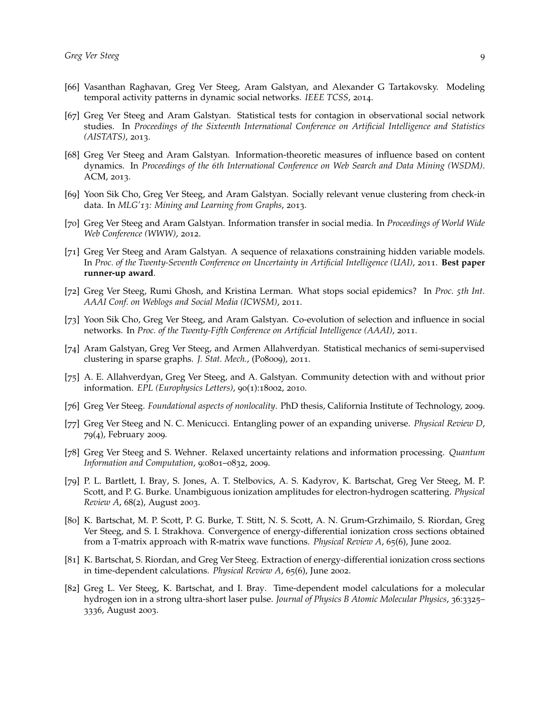- [66] Vasanthan Raghavan, Greg Ver Steeg, Aram Galstyan, and Alexander G Tartakovsky. Modeling temporal activity patterns in dynamic social networks. *IEEE TCSS*, 2014.
- [67] Greg Ver Steeg and Aram Galstyan. Statistical tests for contagion in observational social network studies. In *Proceedings of the Sixteenth International Conference on Artificial Intelligence and Statistics (AISTATS)*, 2013.
- [68] Greg Ver Steeg and Aram Galstyan. Information-theoretic measures of influence based on content dynamics. In *Proceedings of the 6th International Conference on Web Search and Data Mining (WSDM)*. ACM, 2013.
- [69] Yoon Sik Cho, Greg Ver Steeg, and Aram Galstyan. Socially relevant venue clustering from check-in data. In *MLG'13: Mining and Learning from Graphs*, 2013.
- [70] Greg Ver Steeg and Aram Galstyan. Information transfer in social media. In *Proceedings of World Wide Web Conference (WWW)*, 2012.
- [71] Greg Ver Steeg and Aram Galstyan. A sequence of relaxations constraining hidden variable models. In *Proc. of the Twenty-Seventh Conference on Uncertainty in Artificial Intelligence (UAI)*, 2011. **Best paper runner-up award**.
- [72] Greg Ver Steeg, Rumi Ghosh, and Kristina Lerman. What stops social epidemics? In *Proc. 5th Int. AAAI Conf. on Weblogs and Social Media (ICWSM)*, 2011.
- [73] Yoon Sik Cho, Greg Ver Steeg, and Aram Galstyan. Co-evolution of selection and influence in social networks. In *Proc. of the Twenty-Fifth Conference on Artificial Intelligence (AAAI)*, 2011.
- [74] Aram Galstyan, Greg Ver Steeg, and Armen Allahverdyan. Statistical mechanics of semi-supervised clustering in sparse graphs. *J. Stat. Mech.*, (P08009), 2011.
- [75] A. E. Allahverdyan, Greg Ver Steeg, and A. Galstyan. Community detection with and without prior information. *EPL (Europhysics Letters)*, 90(1):18002, 2010.
- [76] Greg Ver Steeg. *Foundational aspects of nonlocality*. PhD thesis, California Institute of Technology, 2009.
- [77] Greg Ver Steeg and N. C. Menicucci. Entangling power of an expanding universe. *Physical Review D*, 79(4), February 2009.
- [78] Greg Ver Steeg and S. Wehner. Relaxed uncertainty relations and information processing. *Quantum Information and Computation*, 9:0801–0832, 2009.
- [79] P. L. Bartlett, I. Bray, S. Jones, A. T. Stelbovics, A. S. Kadyrov, K. Bartschat, Greg Ver Steeg, M. P. Scott, and P. G. Burke. Unambiguous ionization amplitudes for electron-hydrogen scattering. *Physical Review A*, 68(2), August 2003.
- [80] K. Bartschat, M. P. Scott, P. G. Burke, T. Stitt, N. S. Scott, A. N. Grum-Grzhimailo, S. Riordan, Greg Ver Steeg, and S. I. Strakhova. Convergence of energy-differential ionization cross sections obtained from a T-matrix approach with R-matrix wave functions. *Physical Review A*, 65(6), June 2002.
- [81] K. Bartschat, S. Riordan, and Greg Ver Steeg. Extraction of energy-differential ionization cross sections in time-dependent calculations. *Physical Review A*, 65(6), June 2002.
- [82] Greg L. Ver Steeg, K. Bartschat, and I. Bray. Time-dependent model calculations for a molecular hydrogen ion in a strong ultra-short laser pulse. *Journal of Physics B Atomic Molecular Physics*, 36:3325– 3336, August 2003.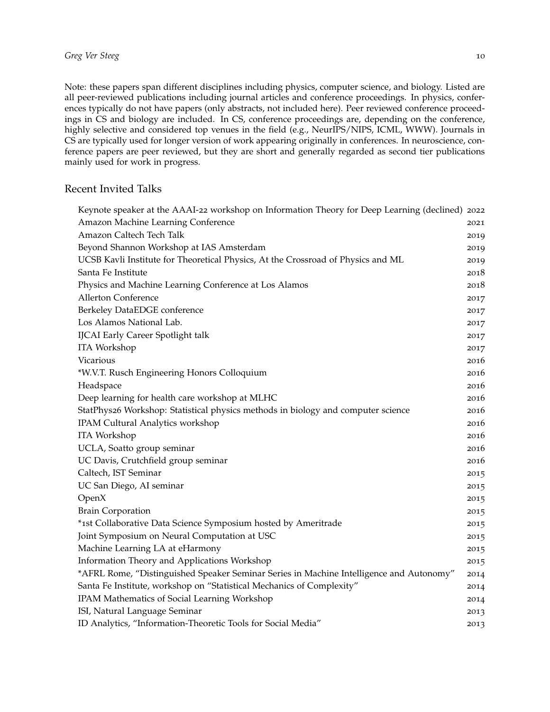#### *Greg Ver Steeg* 10

Note: these papers span different disciplines including physics, computer science, and biology. Listed are all peer-reviewed publications including journal articles and conference proceedings. In physics, conferences typically do not have papers (only abstracts, not included here). Peer reviewed conference proceedings in CS and biology are included. In CS, conference proceedings are, depending on the conference, highly selective and considered top venues in the field (e.g., NeurIPS/NIPS, ICML, WWW). Journals in CS are typically used for longer version of work appearing originally in conferences. In neuroscience, conference papers are peer reviewed, but they are short and generally regarded as second tier publications mainly used for work in progress.

### Recent Invited Talks

| Keynote speaker at the AAAI-22 workshop on Information Theory for Deep Learning (declined) 2022 |      |
|-------------------------------------------------------------------------------------------------|------|
| Amazon Machine Learning Conference                                                              | 2021 |
| Amazon Caltech Tech Talk                                                                        | 2019 |
| Beyond Shannon Workshop at IAS Amsterdam                                                        | 2019 |
| UCSB Kavli Institute for Theoretical Physics, At the Crossroad of Physics and ML                | 2019 |
| Santa Fe Institute                                                                              | 2018 |
| Physics and Machine Learning Conference at Los Alamos                                           | 2018 |
| <b>Allerton Conference</b>                                                                      | 2017 |
| Berkeley DataEDGE conference                                                                    | 2017 |
| Los Alamos National Lab.                                                                        | 2017 |
| IJCAI Early Career Spotlight talk                                                               | 2017 |
| ITA Workshop                                                                                    | 2017 |
| Vicarious                                                                                       | 2016 |
| *W.V.T. Rusch Engineering Honors Colloquium                                                     | 2016 |
| Headspace                                                                                       | 2016 |
| Deep learning for health care workshop at MLHC                                                  | 2016 |
| StatPhys26 Workshop: Statistical physics methods in biology and computer science                | 2016 |
| IPAM Cultural Analytics workshop                                                                | 2016 |
| <b>ITA Workshop</b>                                                                             | 2016 |
| UCLA, Soatto group seminar                                                                      | 2016 |
| UC Davis, Crutchfield group seminar                                                             | 2016 |
| Caltech, IST Seminar                                                                            | 2015 |
| UC San Diego, AI seminar                                                                        | 2015 |
| OpenX                                                                                           | 2015 |
| <b>Brain Corporation</b>                                                                        | 2015 |
| *1st Collaborative Data Science Symposium hosted by Ameritrade                                  | 2015 |
| Joint Symposium on Neural Computation at USC                                                    | 2015 |
| Machine Learning LA at eHarmony                                                                 | 2015 |
| Information Theory and Applications Workshop                                                    | 2015 |
| *AFRL Rome, "Distinguished Speaker Seminar Series in Machine Intelligence and Autonomy"         | 2014 |
| Santa Fe Institute, workshop on "Statistical Mechanics of Complexity"                           | 2014 |
| IPAM Mathematics of Social Learning Workshop                                                    | 2014 |
| ISI, Natural Language Seminar                                                                   | 2013 |
| ID Analytics, "Information-Theoretic Tools for Social Media"                                    | 2013 |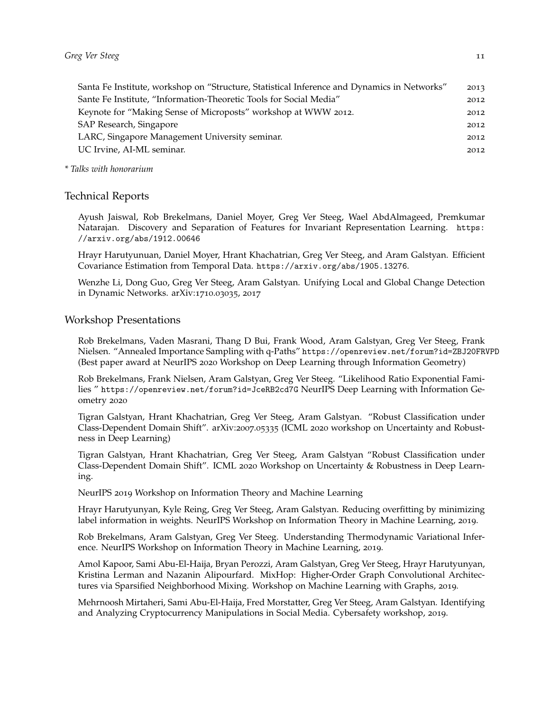| Santa Fe Institute, workshop on "Structure, Statistical Inference and Dynamics in Networks" | 2013 |
|---------------------------------------------------------------------------------------------|------|
| Sante Fe Institute, "Information-Theoretic Tools for Social Media"                          | 2012 |
| Keynote for "Making Sense of Microposts" workshop at WWW 2012.                              | 2012 |
| SAP Research, Singapore                                                                     | 2012 |
| LARC, Singapore Management University seminar.                                              | 2012 |
| UC Irvine, AI-ML seminar.                                                                   | 2012 |

*\* Talks with honorarium*

# Technical Reports

Ayush Jaiswal, Rob Brekelmans, Daniel Moyer, Greg Ver Steeg, Wael AbdAlmageed, Premkumar Natarajan. Discovery and Separation of Features for Invariant Representation Learning. [https:](https://arxiv.org/abs/1912.00646) [//arxiv.org/abs/1912.00646](https://arxiv.org/abs/1912.00646)

Hrayr Harutyunuan, Daniel Moyer, Hrant Khachatrian, Greg Ver Steeg, and Aram Galstyan. Efficient Covariance Estimation from Temporal Data. <https://arxiv.org/abs/1905.13276>.

Wenzhe Li, Dong Guo, Greg Ver Steeg, Aram Galstyan. Unifying Local and Global Change Detection in Dynamic Networks. arXiv:1710.03035, 2017

# Workshop Presentations

Rob Brekelmans, Vaden Masrani, Thang D Bui, Frank Wood, Aram Galstyan, Greg Ver Steeg, Frank Nielsen. "Annealed Importance Sampling with q-Paths" <https://openreview.net/forum?id=ZBJ20FRVPD> (Best paper award at NeurIPS 2020 Workshop on Deep Learning through Information Geometry)

Rob Brekelmans, Frank Nielsen, Aram Galstyan, Greg Ver Steeg. "Likelihood Ratio Exponential Families " <https://openreview.net/forum?id=JceRB2cd7G> NeurIPS Deep Learning with Information Geometry 2020

Tigran Galstyan, Hrant Khachatrian, Greg Ver Steeg, Aram Galstyan. "Robust Classification under Class-Dependent Domain Shift". arXiv:2007.05335 (ICML 2020 workshop on Uncertainty and Robustness in Deep Learning)

Tigran Galstyan, Hrant Khachatrian, Greg Ver Steeg, Aram Galstyan "Robust Classification under Class-Dependent Domain Shift". ICML 2020 Workshop on Uncertainty & Robustness in Deep Learning.

NeurIPS 2019 Workshop on Information Theory and Machine Learning

Hrayr Harutyunyan, Kyle Reing, Greg Ver Steeg, Aram Galstyan. Reducing overfitting by minimizing label information in weights. NeurIPS Workshop on Information Theory in Machine Learning, 2019.

Rob Brekelmans, Aram Galstyan, Greg Ver Steeg. Understanding Thermodynamic Variational Inference. NeurIPS Workshop on Information Theory in Machine Learning, 2019.

Amol Kapoor, Sami Abu-El-Haija, Bryan Perozzi, Aram Galstyan, Greg Ver Steeg, Hrayr Harutyunyan, Kristina Lerman and Nazanin Alipourfard. MixHop: Higher-Order Graph Convolutional Architectures via Sparsified Neighborhood Mixing. Workshop on Machine Learning with Graphs, 2019.

Mehrnoosh Mirtaheri, Sami Abu-El-Haija, Fred Morstatter, Greg Ver Steeg, Aram Galstyan. Identifying and Analyzing Cryptocurrency Manipulations in Social Media. Cybersafety workshop, 2019.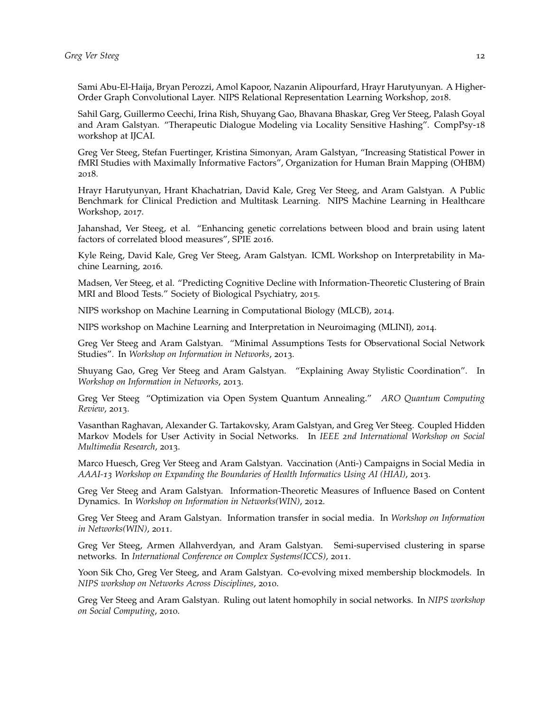Sami Abu-El-Haija, Bryan Perozzi, Amol Kapoor, Nazanin Alipourfard, Hrayr Harutyunyan. A Higher-Order Graph Convolutional Layer. NIPS Relational Representation Learning Workshop, 2018.

Sahil Garg, Guillermo Ceechi, Irina Rish, Shuyang Gao, Bhavana Bhaskar, Greg Ver Steeg, Palash Goyal and Aram Galstyan. "Therapeutic Dialogue Modeling via Locality Sensitive Hashing". CompPsy-18 workshop at IJCAI.

Greg Ver Steeg, Stefan Fuertinger, Kristina Simonyan, Aram Galstyan, "Increasing Statistical Power in fMRI Studies with Maximally Informative Factors", Organization for Human Brain Mapping (OHBM) 2018.

Hrayr Harutyunyan, Hrant Khachatrian, David Kale, Greg Ver Steeg, and Aram Galstyan. A Public Benchmark for Clinical Prediction and Multitask Learning. NIPS Machine Learning in Healthcare Workshop, 2017.

Jahanshad, Ver Steeg, et al. "Enhancing genetic correlations between blood and brain using latent factors of correlated blood measures", SPIE 2016.

Kyle Reing, David Kale, Greg Ver Steeg, Aram Galstyan. ICML Workshop on Interpretability in Machine Learning, 2016.

Madsen, Ver Steeg, et al. "Predicting Cognitive Decline with Information-Theoretic Clustering of Brain MRI and Blood Tests." Society of Biological Psychiatry, 2015.

NIPS workshop on Machine Learning in Computational Biology (MLCB), 2014.

NIPS workshop on Machine Learning and Interpretation in Neuroimaging (MLINI), 2014.

Greg Ver Steeg and Aram Galstyan. "Minimal Assumptions Tests for Observational Social Network Studies". In *Workshop on Information in Networks*, 2013.

Shuyang Gao, Greg Ver Steeg and Aram Galstyan. "Explaining Away Stylistic Coordination". In *Workshop on Information in Networks*, 2013.

Greg Ver Steeg "Optimization via Open System Quantum Annealing." *ARO Quantum Computing Review*, 2013.

Vasanthan Raghavan, Alexander G. Tartakovsky, Aram Galstyan, and Greg Ver Steeg. Coupled Hidden Markov Models for User Activity in Social Networks. In *IEEE 2nd International Workshop on Social Multimedia Research*, 2013.

Marco Huesch, Greg Ver Steeg and Aram Galstyan. Vaccination (Anti-) Campaigns in Social Media in *AAAI-13 Workshop on Expanding the Boundaries of Health Informatics Using AI (HIAI)*, 2013.

Greg Ver Steeg and Aram Galstyan. Information-Theoretic Measures of Influence Based on Content Dynamics. In *Workshop on Information in Networks(WIN)*, 2012.

Greg Ver Steeg and Aram Galstyan. Information transfer in social media. In *Workshop on Information in Networks(WIN)*, 2011.

Greg Ver Steeg, Armen Allahverdyan, and Aram Galstyan. Semi-supervised clustering in sparse networks. In *International Conference on Complex Systems(ICCS)*, 2011.

Yoon Sik Cho, Greg Ver Steeg, and Aram Galstyan. Co-evolving mixed membership blockmodels. In *NIPS workshop on Networks Across Disciplines*, 2010.

Greg Ver Steeg and Aram Galstyan. Ruling out latent homophily in social networks. In *NIPS workshop on Social Computing*, 2010.